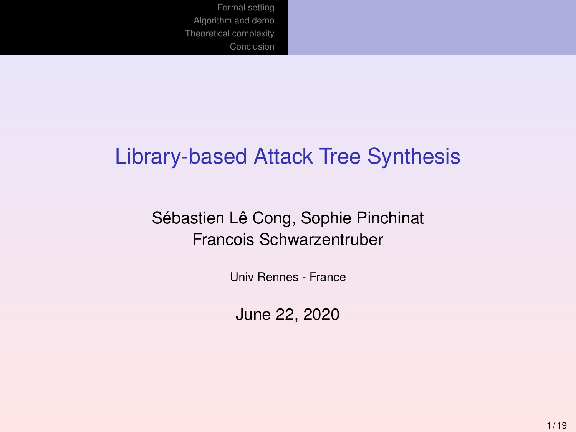### Library-based Attack Tree Synthesis

### Sébastien Lê Cong, Sophie Pinchinat Francois Schwarzentruber

Univ Rennes - France

June 22, 2020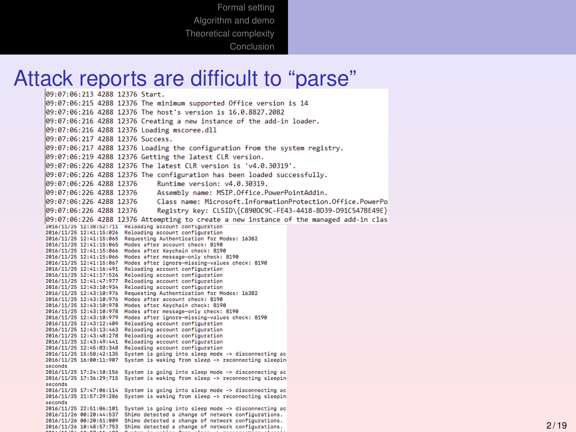# Attack reports are difficult to "parse"

09:07:06:215 4288 12376 The minimum supported Office version is 14 09:07:06:216 4288 12376 The host's version is 16.0.8827.2082 09:07:06:216 4288 12376 Creating a new instance of the add-in loader. 09:07:06:216 4288 12376 Loading mscoree.dll 09:07:06:217 4288 12376 Success.  $|09:07:06:217$  4288 12376 Loading the configuration from the system registry. 09:07:06:219 4288 12376 Getting the latest CLR version. 09:07:06:226 4288 12376 The latest CLR version is 'v4.0.30319'. 09:07:06:226 4288 12376 The configuration has been loaded successfully. 09:07:06:226 4288 12376 Runtime version: v4.0.30319. 09:07:06:226 4288 12376 Assembly name: MSIP.Office.PowerPointAddin. 09:07:06:226 4288 12376 Class name: Microsoft.InformationProtection.Office.PowerPo 09:07:06:226 4288 12376 Registry key: CLSID\{C890DC9C-FE43-4418-BD39-D91C547BE49E} 09:07:06:226 4288 12376 Attempting to create a new instance of the managed add-in clas 2016/11/25 12:38:52:711 Reloading account configuration 2016/11/25 12:41:15:026 Reloading account configuration 2016/11/25 12:41:15:065 Requesting Authentication for Modes: 16382 2016/11/25 12:41:15:065 Modes after account check: 8190 2016/11/25 12:41:15:066 Modes after Keychain check: 8198 2016/11/25 12:41:15:066 Modes after message-only check: 8190 2016/11/25 12:41:15:067 Modes after ignore-missing-values check: 8198 2016/11/25 12:41:16:491 Reloading account configuration 2016/11/25 12:41:17:526 Reloading account configuration 2016/11/25 12:41:47:977 Reloading account configuration 2016/11/25 12:43:10:934 Reloading account configuration 2016/11/25 12:43:10:976 Requesting Authentication for Modes: 16382 2016/11/25 12:43:10:976 Modes after account check: 8190 2016/11/25 12:43:10:978 Modes after Keychain check: 8198 2016/11/25 12:43:10:978 Modes after message-only check: 8198 2016/11/25 12:43:10:979 Modes after ignore-missing-values check: 8190 2016/11/25 12:43:12:409 Reloading account configuration 2016/11/25 12:43:13:463 Reloading account configuration 2016/11/25 12:43:48:278 Reloading account configuration 2016/11/25 12:43:49:441 Reloading account configuration 2016/11/25 12:45:03:348 Reloading account configuration 2016/11/25 15:58:42:135 System is going into sleep mode -> disconnecting ac 2016/11/25 16:00:11:907 System is waking from sleep -> reconnecting sleeping seconds 2016/11/25 17:24:10:156 System is going into sleep mode -> disconnecting ac 2016/11/25 17:36:29:715 System is waking from sleep -> reconnecting sleeping seconds 2016/11/25 17:47:06:114 System is going into sleep mode -> disconnecting ac-2016/11/25 21:57:29:286 System is waking from sleep -> reconnecting sleeping seconds 2016/11/25 22:51:06:101 System is going into sleep mode -> disconnecting ac 2016/11/26 00:20:44:537 Shimo detected a change of network configurations. 2016/11/26 00:20:51:009 Shimo detected a change of network configurations. 2016/11/26 10:48:57:753 Shimo detected a change of network configurations.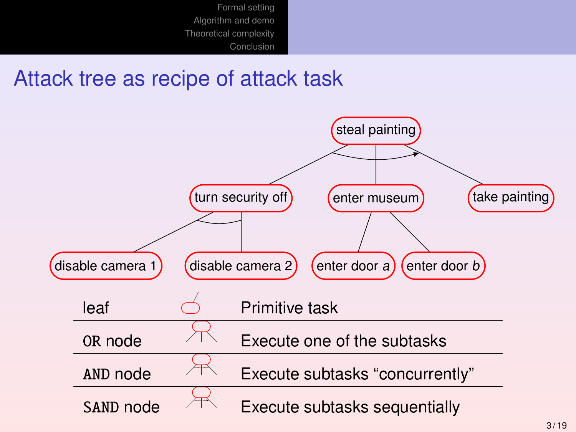### Attack tree as recipe of attack task

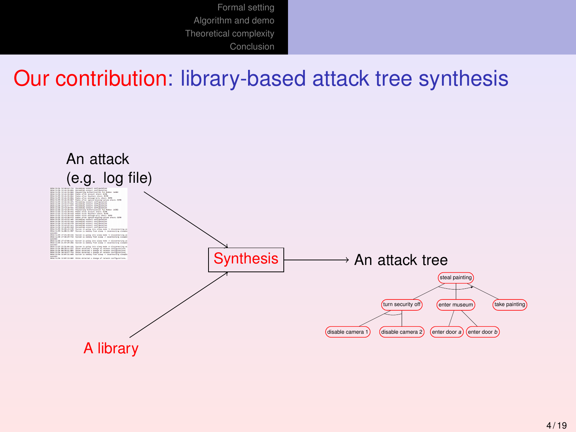### Our contribution: library-based attack tree synthesis

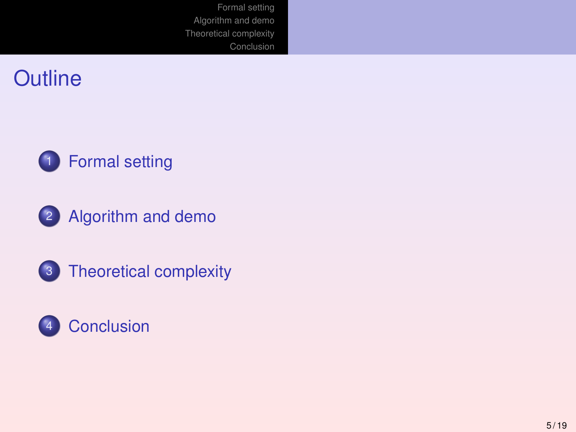







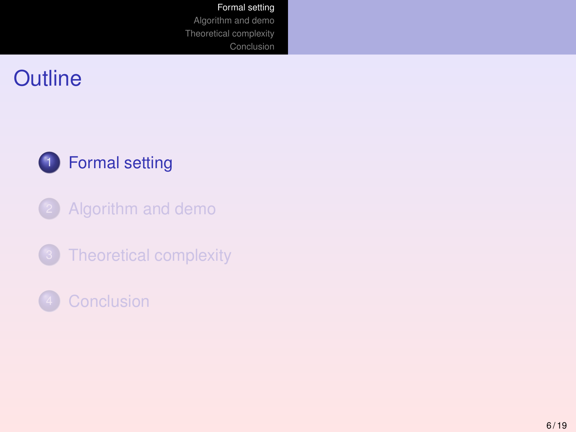<span id="page-5-0"></span>



- [Algorithm and demo](#page-10-0)
- [Theoretical complexity](#page-13-0)
- **[Conclusion](#page-15-0)**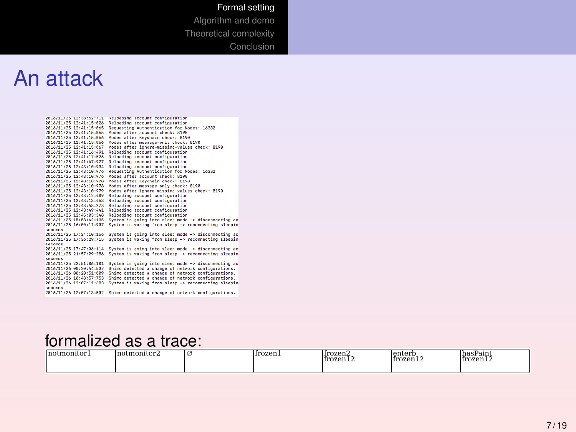#### [Formal setting](#page-5-0)

[Algorithm and demo](#page-10-0) [Theoretical complexity](#page-13-0) **[Conclusion](#page-15-0)** 

### An attack

| 2016/11/25 12:38:52:711 | Reloading account configuration                     |
|-------------------------|-----------------------------------------------------|
| 2016/11/25 12:41:15:026 | Reloading account configuration                     |
| 2016/11/25 12:41:15:065 | Requesting Authentication for Modes: 16382          |
| 2016/11/25 12:41:15:065 | Modes after account check: 8198                     |
| 2016/11/25 12:41:15:066 | Modes after Keychain check: 8190                    |
| 2016/11/25 12:41:15:066 | Modes after nessage-only check: 8190                |
| 2016/11/25 12:41:15:067 | Modes after ignore-missing-values check: 8198       |
| 2016/11/25 12:41:16:491 | Reloading account configuration                     |
| 2016/11/25 12:41:17:526 | Reloading account configuration                     |
| 2016/11/25 12:41:47:977 | Reloading account configuration                     |
| 2016/11/25 12:43:10:934 | Reloading account configuration                     |
| 2016/11/25 12:43:10:976 | Requesting Authentication for Modes: 16382          |
| 2016/11/25 12:43:10:976 | Modes after account check: 8198                     |
| 2016/11/25 12:43:10:978 | Modes after Keychain check: 8190                    |
| 2016/11/25 12:43:10:978 | Modes after message-only check: 8190                |
| 2016/11/25 12:43:18:979 | Modes after ignore-missing-values check: 8198       |
| 2816/11/25 12:43:12:489 | Reloading account configuration                     |
| 2016/11/25 12:43:13:463 | Reloading account configuration                     |
| 2016/11/25 12:43:48:278 | Reloading account configuration                     |
| 2016/11/25 12:43:49:441 | Reloading account configuration                     |
| 2016/11/25 12:45:03:348 | Reloading account configuration                     |
| 2016/11/25 15:58:42:135 | System is going into sleep node -> disconnecting ac |
| 2016/11/25 16:00:11:907 | System is waking from sleep -> reconnecting sleepin |
| seconds                 |                                                     |
| 2016/11/25 17:24:10:156 | System is going into sleep node -> disconnecting ac |
| 2016/11/25 17:36:29:715 | System is waking from sleep -> reconnecting sleepin |
| seconds                 |                                                     |
| 2016/11/25 17:47:06:114 | System is going into sleep node -> disconnecting ac |
| 2016/11/25 21:57:29:286 | System is waking from sleep -> reconnecting sleepin |
| seconds                 |                                                     |
| 2016/11/25 22:51:06:101 | System is going into sleep node -> disconnecting ac |
| 2016/11/26 00:20:44:537 | Shimo detected a change of network configurations.  |
| 2016/11/26 00:20:51:009 | Shimo detected a change of network configurations.  |
| 2016/11/26 10:48:57:753 | Shimo detected a change of network configurations.  |
| 2016/11/26 12:07:11:683 | System is waking from sleep -> reconnecting sleepin |
| seconds                 |                                                     |
| 2016/11/26 12:07:13:502 | Shimo detected a change of network configurations.  |
|                         |                                                     |

#### formalized as a trace:

| lno |  | --------- | --------- | --------- |
|-----|--|-----------|-----------|-----------|
|     |  |           |           |           |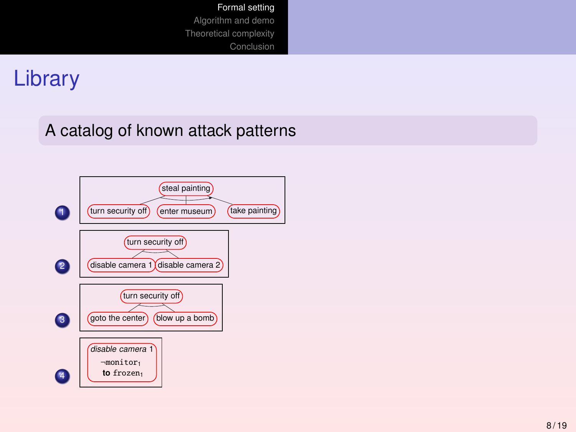### Library

### A catalog of known attack patterns

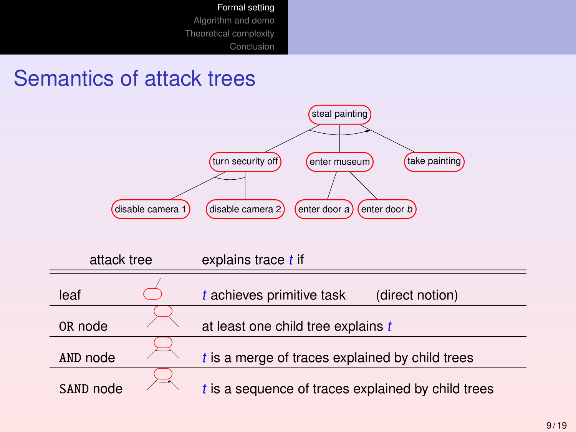### Semantics of attack trees



| attack tree<br>leaf |  | explains trace t if                                  |  |  |  |
|---------------------|--|------------------------------------------------------|--|--|--|
|                     |  | $t$ achieves primitive task<br>(direct notion)       |  |  |  |
| OR node             |  | at least one child tree explains t                   |  |  |  |
| AND node            |  | $t$ is a merge of traces explained by child trees    |  |  |  |
| SAND node           |  | $t$ is a sequence of traces explained by child trees |  |  |  |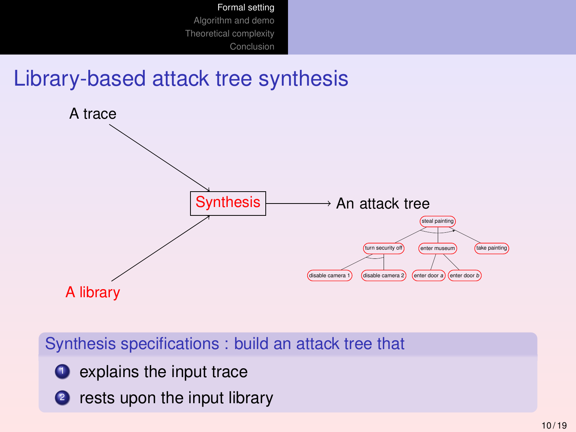### Library-based attack tree synthesis



Synthesis specifications : build an attack tree that

- $\bullet$  explains the input trace
- 2 rests upon the input library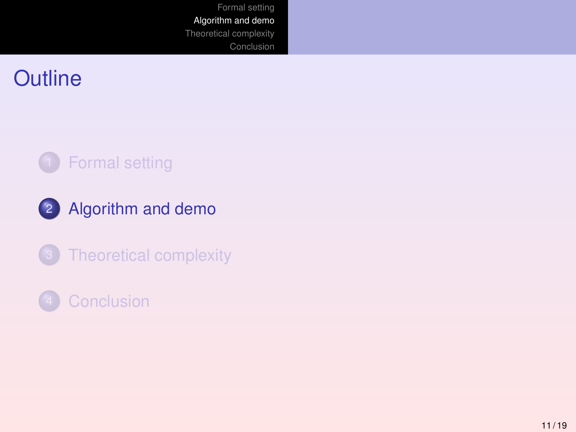### <span id="page-10-0"></span>**Outline**





[Theoretical complexity](#page-13-0)

### **[Conclusion](#page-15-0)**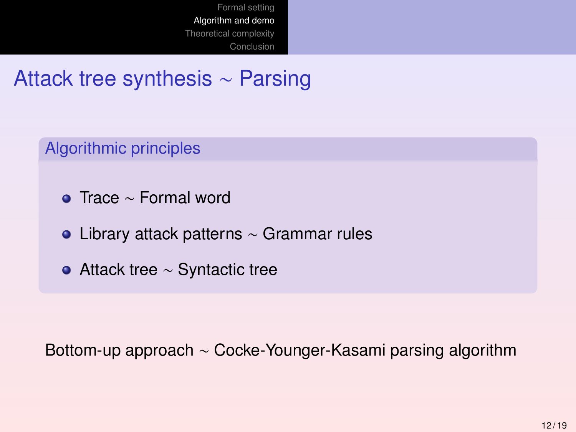Attack tree synthesis ∼ Parsing

Algorithmic principles

- Trace ∼ Formal word
- Library attack patterns ∼ Grammar rules
- Attack tree ∼ Syntactic tree

Bottom-up approach ∼ Cocke-Younger-Kasami parsing algorithm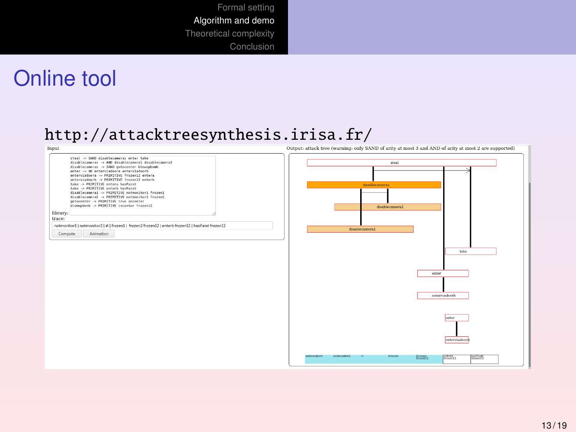### Online tool

# <http://attacktreesynthesis.irisa.fr/><br>
nones attack tree (warning only SAND of artiv at most 3 and AND of artiv at most 3 are supported

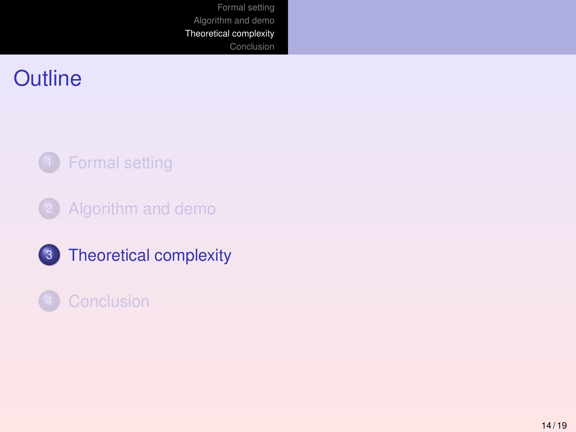### <span id="page-13-0"></span>**Outline**



- [Algorithm and demo](#page-10-0)
- 3 [Theoretical complexity](#page-13-0)

### **[Conclusion](#page-15-0)**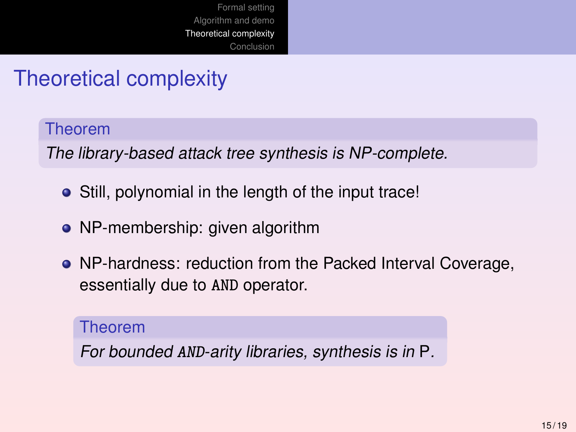# Theoretical complexity

#### Theorem

The library-based attack tree synthesis is NP-complete.

- Still, polynomial in the length of the input trace!
- NP-membership: given algorithm
- NP-hardness: reduction from the Packed Interval Coverage, essentially due to AND operator.

#### Theorem

For bounded AND-arity libraries, synthesis is in P.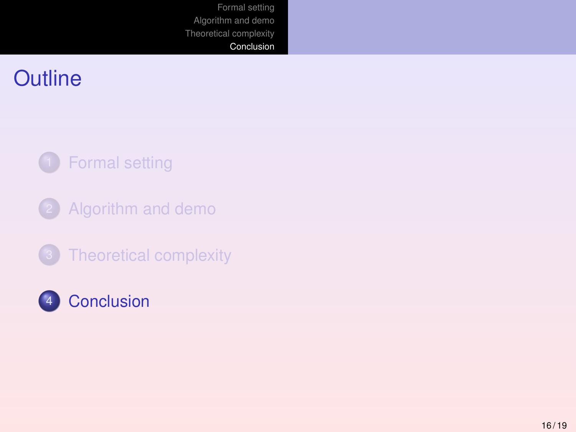### <span id="page-15-0"></span>**Outline**



- [Algorithm and demo](#page-10-0)
- [Theoretical complexity](#page-13-0)

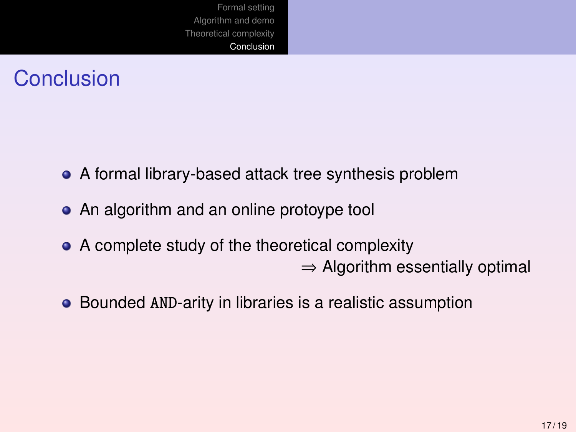## **Conclusion**

- A formal library-based attack tree synthesis problem
- An algorithm and an online protoype tool
- A complete study of the theoretical complexity  $\Rightarrow$  Algorithm essentially optimal
- Bounded AND-arity in libraries is a realistic assumption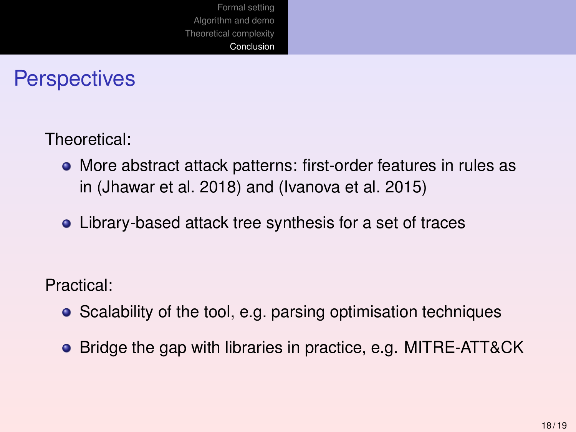### **Perspectives**

Theoretical:

- More abstract attack patterns: first-order features in rules as in (Jhawar et al. 2018) and (Ivanova et al. 2015)
- Library-based attack tree synthesis for a set of traces

Practical:

- Scalability of the tool, e.g. parsing optimisation techniques
- Bridge the gap with libraries in practice, e.g. MITRE-ATT&CK